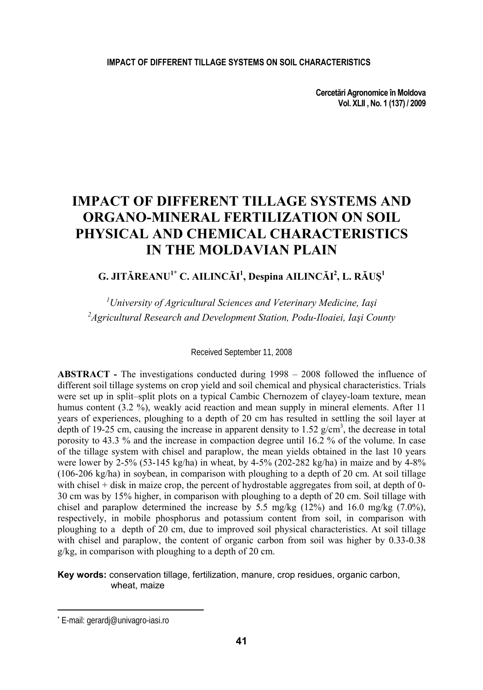**Cercetări Agronomice în Moldova Vol. XLII , No. 1 (137) / 2009** 

# **IMPACT OF DIFFERENT TILLAGE SYSTEMS AND ORGANO-MINERAL FERTILIZATION ON SOIL PHYSICAL AND CHEMICAL CHARACTERISTICS IN THE MOLDAVIAN PLAIN**

# **G. JITĂREANU1\* C. AILINCĂI 1 , Despina AILINCĂI 2 , L. RĂUŞ<sup>1</sup>**

*1 University of Agricultural Sciences and Veterinary Medicine, Iaşi 2 Agricultural Research and Development Station, Podu-Iloaiei, Iaşi County* 

Received September 11, 2008

**ABSTRACT -** The investigations conducted during 1998 – 2008 followed the influence of different soil tillage systems on crop yield and soil chemical and physical characteristics. Trials were set up in split–split plots on a typical Cambic Chernozem of clayey-loam texture, mean humus content (3.2 %), weakly acid reaction and mean supply in mineral elements. After 11 years of experiences, ploughing to a depth of 20 cm has resulted in settling the soil layer at depth of 19-25 cm, causing the increase in apparent density to 1.52  $g/cm<sup>3</sup>$ , the decrease in total porosity to 43.3 % and the increase in compaction degree until 16.2 % of the volume. In case of the tillage system with chisel and paraplow, the mean yields obtained in the last 10 years were lower by 2-5% (53-145 kg/ha) in wheat, by 4-5% (202-282 kg/ha) in maize and by 4-8% (106-206 kg/ha) in soybean, in comparison with ploughing to a depth of 20 cm. At soil tillage with chisel + disk in maize crop, the percent of hydrostable aggregates from soil, at depth of 0-30 cm was by 15% higher, in comparison with ploughing to a depth of 20 cm. Soil tillage with chisel and paraplow determined the increase by 5.5 mg/kg  $(12\%)$  and 16.0 mg/kg  $(7.0\%)$ , respectively, in mobile phosphorus and potassium content from soil, in comparison with ploughing to a depth of 20 cm, due to improved soil physical characteristics. At soil tillage with chisel and paraplow, the content of organic carbon from soil was higher by 0.33-0.38 g/kg, in comparison with ploughing to a depth of 20 cm.

**Key words:** conservation tillage, fertilization, manure, crop residues, organic carbon, wheat, maize

 $\overline{\phantom{a}}$ 

<sup>\*</sup> E-mail: gerardj@univagro-iasi.ro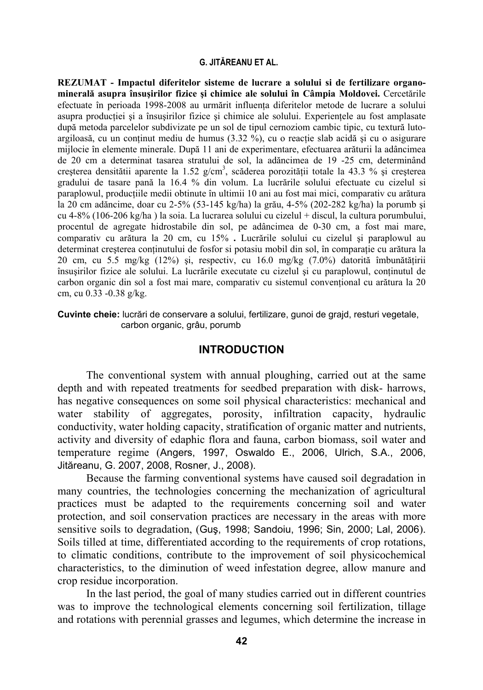**REZUMAT - Impactul diferitelor sisteme de lucrare a solului si de fertilizare organominerală asupra însuşirilor fizice şi chimice ale solului în Câmpia Moldovei.** Cercetările efectuate în perioada 1998-2008 au urmărit influența diferitelor metode de lucrare a solului asupra producţiei şi a însuşirilor fizice şi chimice ale solului. Experienţele au fost amplasate după metoda parcelelor subdivizate pe un sol de tipul cernoziom cambic tipic, cu textură lutoargiloasă, cu un conținut mediu de humus  $(3.32 \%)$ , cu o reacție slab acidă și cu o asigurare mijlocie în elemente minerale. După 11 ani de experimentare, efectuarea arăturii la adâncimea de 20 cm a determinat tasarea stratului de sol, la adăncimea de 19 -25 cm, determinând creșterea densitătii aparente la 1.52 g/cm<sup>3</sup>, scăderea porozității totale la 43.3 % și creșterea gradului de tasare pană la 16.4 % din volum. La lucrările solului efectuate cu cizelul si paraplowul, producţiile medii obtinute în ultimii 10 ani au fost mai mici, comparativ cu arătura la 20 cm adăncime, doar cu 2-5% (53-145 kg/ha) la grău, 4-5% (202-282 kg/ha) la porumb şi cu 4-8% (106-206 kg/ha ) la soia. La lucrarea solului cu cizelul + discul, la cultura porumbului, procentul de agregate hidrostabile din sol, pe adâncimea de 0-30 cm, a fost mai mare, comparativ cu arătura la 20 cm, cu 15% **.** Lucrările solului cu cizelul şi paraplowul au determinat creșterea conținutului de fosfor si potasiu mobil din sol, în comparație cu arătura la  $20 \text{ cm}$ , cu 5.5 mg/kg (12%) și, respectiv, cu 16.0 mg/kg (7.0%) datorită îmbunătățirii însuşirilor fizice ale solului. La lucrările executate cu cizelul şi cu paraplowul, conţinutul de carbon organic din sol a fost mai mare, comparativ cu sistemul conventional cu arătura la 20 cm, cu 0.33 -0.38 g/kg.

**Cuvinte cheie:** lucrări de conservare a solului, fertilizare, gunoi de grajd, resturi vegetale, carbon organic, grâu, porumb

# **INTRODUCTION**

The conventional system with annual ploughing, carried out at the same depth and with repeated treatments for seedbed preparation with disk- harrows, has negative consequences on some soil physical characteristics: mechanical and water stability of aggregates, porosity, infiltration capacity, hydraulic conductivity, water holding capacity, stratification of organic matter and nutrients, activity and diversity of edaphic flora and fauna, carbon biomass, soil water and temperature regime (Angers, 1997, Oswaldo E., 2006, Ulrich, S.A., 2006, Jităreanu, G. 2007, 2008, Rosner, J., 2008).

Because the farming conventional systems have caused soil degradation in many countries, the technologies concerning the mechanization of agricultural practices must be adapted to the requirements concerning soil and water protection, and soil conservation practices are necessary in the areas with more sensitive soils to degradation, (Guş, 1998; Sandoiu, 1996; Sin, 2000; Lal, 2006). Soils tilled at time, differentiated according to the requirements of crop rotations, to climatic conditions, contribute to the improvement of soil physicochemical characteristics, to the diminution of weed infestation degree, allow manure and crop residue incorporation.

In the last period, the goal of many studies carried out in different countries was to improve the technological elements concerning soil fertilization, tillage and rotations with perennial grasses and legumes, which determine the increase in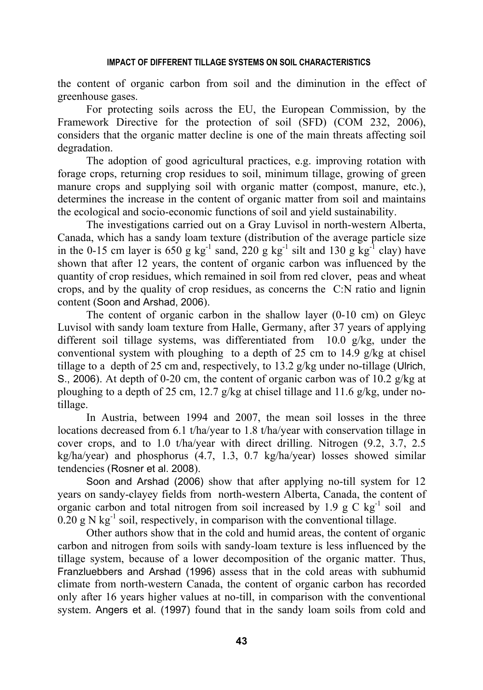the content of organic carbon from soil and the diminution in the effect of greenhouse gases.

For protecting soils across the EU, the European Commission, by the Framework Directive for the protection of soil (SFD) (COM 232, 2006), considers that the organic matter decline is one of the main threats affecting soil degradation.

The adoption of good agricultural practices, e.g. improving rotation with forage crops, returning crop residues to soil, minimum tillage, growing of green manure crops and supplying soil with organic matter (compost, manure, etc.), determines the increase in the content of organic matter from soil and maintains the ecological and socio-economic functions of soil and yield sustainability.

The investigations carried out on a Gray Luvisol in north-western Alberta, Canada, which has a sandy loam texture (distribution of the average particle size in the 0-15 cm layer is 650 g kg<sup>-1</sup> sand, 220 g kg<sup>-1</sup> silt and 130 g kg<sup>-1</sup> clay) have shown that after 12 years, the content of organic carbon was influenced by the quantity of crop residues, which remained in soil from red clover, peas and wheat crops, and by the quality of crop residues, as concerns the C:N ratio and lignin content (Soon and Arshad, 2006).

The content of organic carbon in the shallow layer (0-10 cm) on Gleyc Luvisol with sandy loam texture from Halle, Germany, after 37 years of applying different soil tillage systems, was differentiated from 10.0 g/kg, under the conventional system with ploughing to a depth of 25 cm to 14.9 g/kg at chisel tillage to a depth of 25 cm and, respectively, to 13.2 g/kg under no-tillage (Ulrich, S., 2006). At depth of 0-20 cm, the content of organic carbon was of 10.2  $g/kg$  at ploughing to a depth of 25 cm, 12.7 g/kg at chisel tillage and 11.6 g/kg, under notillage.

In Austria, between 1994 and 2007, the mean soil losses in the three locations decreased from 6.1 t/ha/year to 1.8 t/ha/year with conservation tillage in cover crops, and to 1.0 t/ha/year with direct drilling. Nitrogen (9.2, 3.7, 2.5 kg/ha/year) and phosphorus (4.7, 1.3, 0.7 kg/ha/year) losses showed similar tendencies (Rosner et al. 2008).

Soon and Arshad (2006) show that after applying no-till system for 12 years on sandy-clayey fields from north-western Alberta, Canada, the content of organic carbon and total nitrogen from soil increased by 1.9 g C kg<sup>-1</sup> soil and  $0.20$  g N kg<sup>-1</sup> soil, respectively, in comparison with the conventional tillage.

Other authors show that in the cold and humid areas, the content of organic carbon and nitrogen from soils with sandy-loam texture is less influenced by the tillage system, because of a lower decomposition of the organic matter. Thus, Franzluebbers and Arshad (1996) assess that in the cold areas with subhumid climate from north-western Canada, the content of organic carbon has recorded only after 16 years higher values at no-till, in comparison with the conventional system. Angers et al. (1997) found that in the sandy loam soils from cold and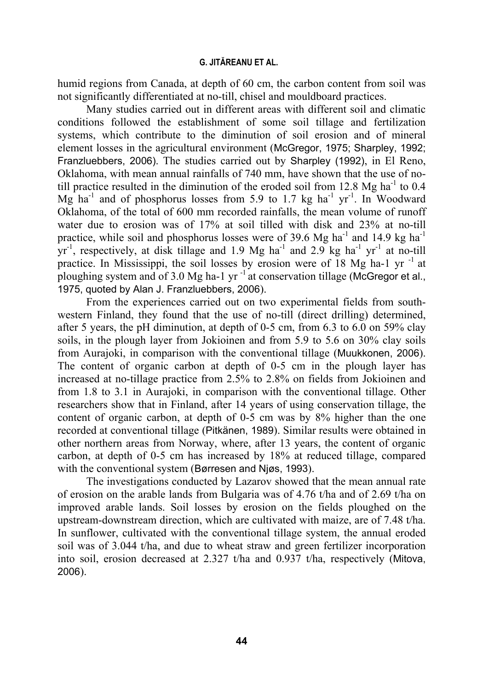humid regions from Canada, at depth of 60 cm, the carbon content from soil was not significantly differentiated at no-till, chisel and mouldboard practices.

Many studies carried out in different areas with different soil and climatic conditions followed the establishment of some soil tillage and fertilization systems, which contribute to the diminution of soil erosion and of mineral element losses in the agricultural environment (McGregor, 1975; Sharpley, 1992; Franzluebbers, 2006). The studies carried out by Sharpley (1992), in El Reno, Oklahoma, with mean annual rainfalls of 740 mm, have shown that the use of notill practice resulted in the diminution of the eroded soil from 12.8 Mg ha<sup>-1</sup> to 0.4  $Mg$  ha<sup>-1</sup> and of phosphorus losses from 5.9 to 1.7 kg ha<sup>-1</sup> yr<sup>-1</sup>. In Woodward Oklahoma, of the total of 600 mm recorded rainfalls, the mean volume of runoff water due to erosion was of 17% at soil tilled with disk and 23% at no-till practice, while soil and phosphorus losses were of 39.6 Mg ha<sup>-1</sup> and 14.9 kg ha<sup>-1</sup>  $yr^{-1}$ , respectively, at disk tillage and 1.9 Mg ha<sup>-1</sup> and 2.9 kg ha<sup>-1</sup> yr<sup>-1</sup> at no-till practice. In Mississippi, the soil losses by erosion were of 18 Mg ha-1 yr  $^{-1}$  at ploughing system and of 3.0 Mg ha-1 yr  $^{-1}$  at conservation tillage (McGregor et al., 1975, quoted by Alan J. Franzluebbers, 2006).

From the experiences carried out on two experimental fields from southwestern Finland, they found that the use of no-till (direct drilling) determined, after 5 years, the pH diminution, at depth of 0-5 cm, from 6.3 to 6.0 on 59% clay soils, in the plough layer from Jokioinen and from 5.9 to 5.6 on 30% clay soils from Aurajoki, in comparison with the conventional tillage (Muukkonen, 2006). The content of organic carbon at depth of 0-5 cm in the plough layer has increased at no-tillage practice from 2.5% to 2.8% on fields from Jokioinen and from 1.8 to 3.1 in Aurajoki, in comparison with the conventional tillage. Other researchers show that in Finland, after 14 years of using conservation tillage, the content of organic carbon, at depth of 0-5 cm was by 8% higher than the one recorded at conventional tillage (Pitkänen, 1989). Similar results were obtained in other northern areas from Norway, where, after 13 years, the content of organic carbon, at depth of 0-5 cm has increased by 18% at reduced tillage, compared with the conventional system (Børresen and Njøs, 1993).

The investigations conducted by Lazarov showed that the mean annual rate of erosion on the arable lands from Bulgaria was of 4.76 t/ha and of 2.69 t/ha on improved arable lands. Soil losses by erosion on the fields ploughed on the upstream-downstream direction, which are cultivated with maize, are of 7.48 t/ha. In sunflower, cultivated with the conventional tillage system, the annual eroded soil was of 3.044 t/ha, and due to wheat straw and green fertilizer incorporation into soil, erosion decreased at 2.327 t/ha and 0.937 t/ha, respectively (Mitova, 2006).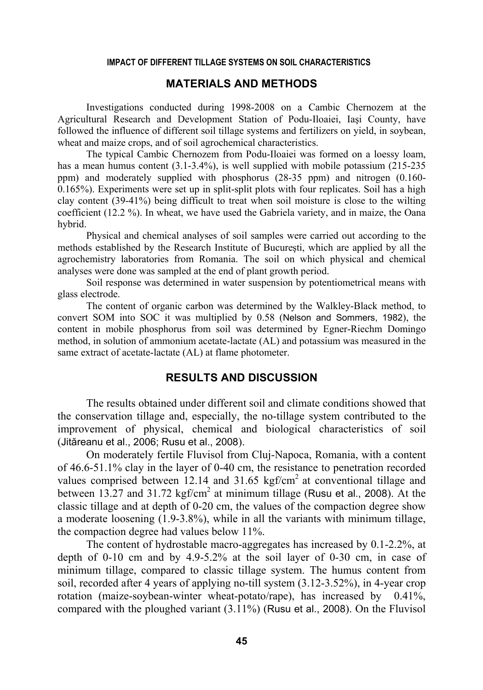# **MATERIALS AND METHODS**

Investigations conducted during 1998-2008 on a Cambic Chernozem at the Agricultural Research and Development Station of Podu-Iloaiei, Iaşi County, have followed the influence of different soil tillage systems and fertilizers on yield, in soybean, wheat and maize crops, and of soil agrochemical characteristics.

The typical Cambic Chernozem from Podu-Iloaiei was formed on a loessy loam, has a mean humus content (3.1-3.4%), is well supplied with mobile potassium (215-235) ppm) and moderately supplied with phosphorus (28-35 ppm) and nitrogen (0.160- 0.165%). Experiments were set up in split-split plots with four replicates. Soil has a high clay content (39-41%) being difficult to treat when soil moisture is close to the wilting coefficient (12.2 %). In wheat, we have used the Gabriela variety, and in maize, the Oana hybrid.

Physical and chemical analyses of soil samples were carried out according to the methods established by the Research Institute of Bucureşti, which are applied by all the agrochemistry laboratories from Romania. The soil on which physical and chemical analyses were done was sampled at the end of plant growth period.

Soil response was determined in water suspension by potentiometrical means with glass electrode.

The content of organic carbon was determined by the Walkley-Black method, to convert SOM into SOC it was multiplied by 0.58 (Nelson and Sommers, 1982), the content in mobile phosphorus from soil was determined by Egner-Riechm Domingo method, in solution of ammonium acetate-lactate (AL) and potassium was measured in the same extract of acetate-lactate (AL) at flame photometer.

# **RESULTS AND DISCUSSION**

The results obtained under different soil and climate conditions showed that the conservation tillage and, especially, the no-tillage system contributed to the improvement of physical, chemical and biological characteristics of soil (Jităreanu et al., 2006; Rusu et al., 2008).

On moderately fertile Fluvisol from Cluj-Napoca, Romania, with a content of 46.6-51.1% clay in the layer of 0-40 cm, the resistance to penetration recorded values comprised between 12.14 and 31.65 kgf/cm<sup>2</sup> at conventional tillage and between  $13.27$  and  $31.72$  kgf/cm<sup>2</sup> at minimum tillage (Rusu et al., 2008). At the classic tillage and at depth of 0-20 cm, the values of the compaction degree show a moderate loosening (1.9-3.8%), while in all the variants with minimum tillage, the compaction degree had values below 11%.

The content of hydrostable macro-aggregates has increased by 0.1-2.2%, at depth of 0-10 cm and by 4.9-5.2% at the soil layer of 0-30 cm, in case of minimum tillage, compared to classic tillage system. The humus content from soil, recorded after 4 years of applying no-till system (3.12-3.52%), in 4-year crop rotation (maize-soybean-winter wheat-potato/rape), has increased by 0.41%, compared with the ploughed variant (3.11%) (Rusu et al., 2008). On the Fluvisol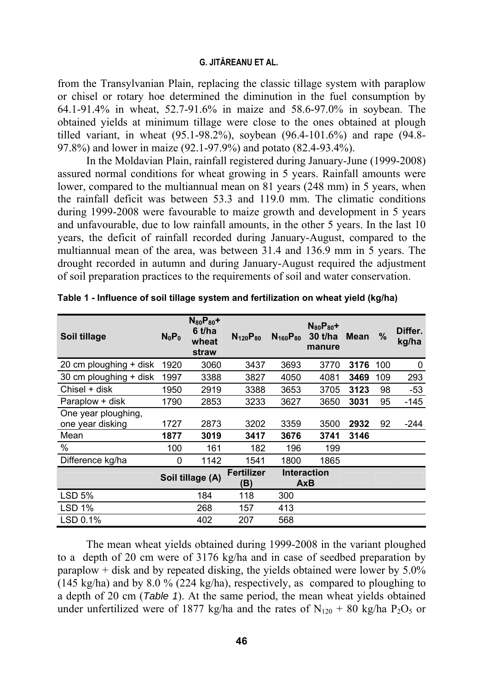from the Transylvanian Plain, replacing the classic tillage system with paraplow or chisel or rotary hoe determined the diminution in the fuel consumption by 64.1-91.4% in wheat, 52.7-91.6% in maize and 58.6-97.0% in soybean. The obtained yields at minimum tillage were close to the ones obtained at plough tilled variant, in wheat (95.1-98.2%), soybean (96.4-101.6%) and rape (94.8- 97.8%) and lower in maize (92.1-97.9%) and potato (82.4-93.4%).

In the Moldavian Plain, rainfall registered during January-June (1999-2008) assured normal conditions for wheat growing in 5 years. Rainfall amounts were lower, compared to the multiannual mean on 81 years (248 mm) in 5 years, when the rainfall deficit was between 53.3 and 119.0 mm. The climatic conditions during 1999-2008 were favourable to maize growth and development in 5 years and unfavourable, due to low rainfall amounts, in the other 5 years. In the last 10 years, the deficit of rainfall recorded during January-August, compared to the multiannual mean of the area, was between 31.4 and 136.9 mm in 5 years. The drought recorded in autumn and during January-August required the adjustment of soil preparation practices to the requirements of soil and water conservation.

| Soil tillage                            | $N_0P_0$ | $N_{80}P_{80}+$<br>6 t/ha<br>wheat<br>straw | $N_{120}P_{80}$          | $N_{160}P_{80}$ | $N_{80}P_{80}+$<br>$30$ t/ha<br>manure | <b>Mean</b> | %   | Differ.<br>kg/ha |
|-----------------------------------------|----------|---------------------------------------------|--------------------------|-----------------|----------------------------------------|-------------|-----|------------------|
| 20 cm ploughing + disk                  | 1920     | 3060                                        | 3437                     | 3693            | 3770                                   | 3176        | 100 | 0                |
| 30 cm ploughing + disk                  | 1997     | 3388                                        | 3827                     | 4050            | 4081                                   | 3469        | 109 | 293              |
| Chisel + disk                           | 1950     | 2919                                        | 3388                     | 3653            | 3705                                   | 3123        | 98  | -53              |
| Paraplow + disk                         | 1790     | 2853                                        | 3233                     | 3627            | 3650                                   | 3031        | 95  | $-145$           |
| One year ploughing,<br>one year disking | 1727     | 2873                                        | 3202                     | 3359            | 3500                                   | 2932        | 92  | $-244$           |
| Mean                                    | 1877     | 3019                                        | 3417                     | 3676            | 3741                                   | 3146        |     |                  |
| $\%$                                    | 100      | 161                                         | 182                      | 196             | 199                                    |             |     |                  |
| Difference kg/ha                        | 0        | 1142                                        | 1541                     | 1800            | 1865                                   |             |     |                  |
|                                         |          | Soil tillage (A)                            | <b>Fertilizer</b><br>(B) |                 | <b>Interaction</b><br>AxB              |             |     |                  |
| <b>LSD 5%</b>                           |          | 184                                         | 118                      | 300             |                                        |             |     |                  |
| <b>LSD 1%</b>                           |          | 268                                         | 157                      | 413             |                                        |             |     |                  |
| LSD 0.1%                                |          | 402                                         | 207                      | 568             |                                        |             |     |                  |

**Table 1 - Influence of soil tillage system and fertilization on wheat yield (kg/ha)** 

The mean wheat yields obtained during 1999-2008 in the variant ploughed to a depth of 20 cm were of 3176 kg/ha and in case of seedbed preparation by paraplow  $+$  disk and by repeated disking, the yields obtained were lower by 5.0% (145 kg/ha) and by 8.0 % (224 kg/ha), respectively, as compared to ploughing to a depth of 20 cm (*Table 1*). At the same period, the mean wheat yields obtained under unfertilized were of 1877 kg/ha and the rates of  $N_{120}$  + 80 kg/ha P<sub>2</sub>O<sub>5</sub> or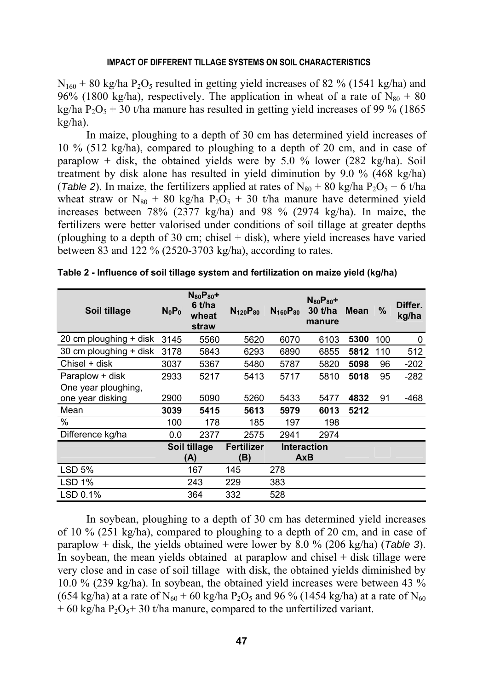$N_{160}$  + 80 kg/ha P<sub>2</sub>O<sub>5</sub> resulted in getting yield increases of 82 % (1541 kg/ha) and 96% (1800 kg/ha), respectively. The application in wheat of a rate of  $N_{80} + 80$ kg/ha  $P_2O_5$  + 30 t/ha manure has resulted in getting yield increases of 99 % (1865) kg/ha).

In maize, ploughing to a depth of 30 cm has determined yield increases of 10 % (512 kg/ha), compared to ploughing to a depth of 20 cm, and in case of paraplow  $+$  disk, the obtained yields were by 5.0 % lower (282 kg/ha). Soil treatment by disk alone has resulted in yield diminution by 9.0 % (468 kg/ha) (*Table 2*). In maize, the fertilizers applied at rates of  $N_{80} + 80$  kg/ha  $P_2O_5 + 6$  t/ha wheat straw or  $N_{80}$  + 80 kg/ha  $P_2O_5$  + 30 t/ha manure have determined yield increases between 78% (2377 kg/ha) and 98 % (2974 kg/ha). In maize, the fertilizers were better valorised under conditions of soil tillage at greater depths (ploughing to a depth of 30 cm; chisel + disk), where yield increases have varied between 83 and 122 % (2520-3703 kg/ha), according to rates.

| Soil tillage           | $N_0P_0$ | $N_{80}P_{80}+$<br>6 t/ha<br>wheat<br>straw | $N_{120}P_{80}$   | $N_{160}P_{80}$ | $N_{80}P_{80}+$<br>30 t/ha<br>manure | <b>Mean</b> | $\%$ | Differ.<br>kg/ha |
|------------------------|----------|---------------------------------------------|-------------------|-----------------|--------------------------------------|-------------|------|------------------|
| 20 cm ploughing + disk | 3145     | 5560                                        | 5620              | 6070            | 6103                                 | 5300        | 100  | 0                |
| 30 cm ploughing + disk | 3178     | 5843                                        | 6293              | 6890            | 6855                                 | 5812        | 110  | 512              |
| Chisel + disk          | 3037     | 5367                                        | 5480              | 5787            | 5820                                 | 5098        | 96   | $-202$           |
| Paraplow + disk        | 2933     | 5217                                        | 5413              | 5717            | 5810                                 | 5018        | 95   | $-282$           |
| One year ploughing,    |          |                                             |                   |                 |                                      |             |      |                  |
| one year disking       | 2900     | 5090                                        | 5260              | 5433            | 5477                                 | 4832        | 91   | $-468$           |
| Mean                   | 3039     | 5415                                        | 5613              | 5979            | 6013                                 | 5212        |      |                  |
| $\%$                   | 100      | 178                                         | 185               | 197             | 198                                  |             |      |                  |
| Difference kg/ha       | 0.0      | 2377                                        | 2575              | 2941            | 2974                                 |             |      |                  |
|                        |          | Soil tillage                                | <b>Fertilizer</b> |                 | <b>Interaction</b>                   |             |      |                  |
|                        |          | (A)                                         | (B)               |                 | <b>AxB</b>                           |             |      |                  |
| <b>LSD 5%</b>          |          | 167                                         | 145               | 278             |                                      |             |      |                  |
| LSD 1%                 |          | 243                                         | 229               | 383             |                                      |             |      |                  |
| LSD 0.1%               |          | 364                                         | 332               | 528             |                                      |             |      |                  |

| Table 2 - Influence of soil tillage system and fertilization on maize yield (kg/ha) |  |  |
|-------------------------------------------------------------------------------------|--|--|
|-------------------------------------------------------------------------------------|--|--|

In soybean, ploughing to a depth of 30 cm has determined yield increases of 10 % (251 kg/ha), compared to ploughing to a depth of 20 cm, and in case of paraplow + disk, the yields obtained were lower by 8.0 % (206 kg/ha) (*Table 3*). In soybean, the mean yields obtained at paraplow and chisel + disk tillage were very close and in case of soil tillage with disk, the obtained yields diminished by 10.0 % (239 kg/ha). In soybean, the obtained yield increases were between 43 % (654 kg/ha) at a rate of  $N_{60}$  + 60 kg/ha P<sub>2</sub>O<sub>5</sub> and 96 % (1454 kg/ha) at a rate of  $N_{60}$ + 60 kg/ha  $P_2O_5$ + 30 t/ha manure, compared to the unfertilized variant.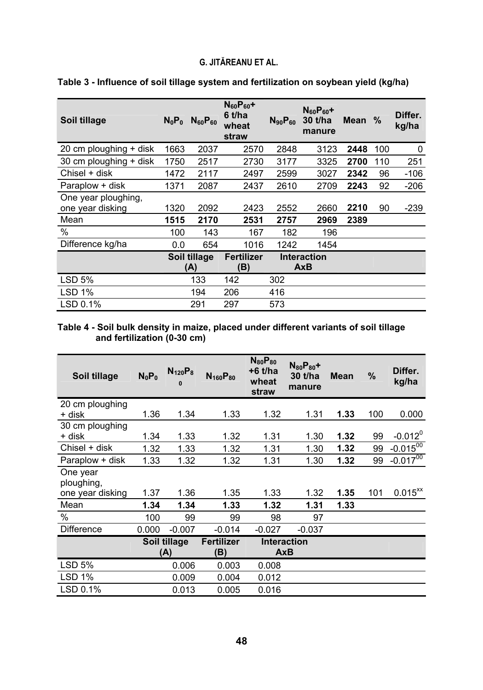| Soil tillage                            | $N_0P_0$ | $N_{60}P_{60}$ | $N_{60}P_{60}+$<br>6 t/ha<br>wheat<br>straw | $N_{90}P_{60}$ | $N_{60}P_{60}+$<br>30 t/ha<br>manure | Mean % |     | Differ.<br>kg/ha |
|-----------------------------------------|----------|----------------|---------------------------------------------|----------------|--------------------------------------|--------|-----|------------------|
| 20 cm ploughing + disk                  | 1663     | 2037           | 2570                                        | 2848           | 3123                                 | 2448   | 100 | 0                |
| 30 cm ploughing + disk                  | 1750     | 2517           | 2730                                        | 3177           | 3325                                 | 2700   | 110 | 251              |
| Chisel + disk                           | 1472     | 2117           | 2497                                        | 2599           | 3027                                 | 2342   | 96  | -106             |
| Paraplow + disk                         | 1371     | 2087           | 2437                                        | 2610           | 2709                                 | 2243   | 92  | $-206$           |
| One year ploughing,<br>one year disking | 1320     | 2092           | 2423                                        | 2552           | 2660                                 | 2210   | 90  | $-239$           |
| Mean                                    | 1515     | 2170           | 2531                                        | 2757           | 2969                                 | 2389   |     |                  |
| %                                       | 100      | 143            | 167                                         | 182            | 196                                  |        |     |                  |
| Difference kg/ha                        | 0.0      | 654            | 1016                                        | 1242           | 1454                                 |        |     |                  |
|                                         |          | Soil tillage   | <b>Fertilizer</b>                           |                | <b>Interaction</b>                   |        |     |                  |
|                                         | (A)      |                | (B)                                         |                | AxB                                  |        |     |                  |
| <b>LSD 5%</b>                           |          | 133            | 142                                         | 302            |                                      |        |     |                  |
| LSD 1%                                  |          | 194            | 206                                         | 416            |                                      |        |     |                  |
| LSD 0.1%                                |          | 291            | 297                                         | 573            |                                      |        |     |                  |

# **Table 3 - Influence of soil tillage system and fertilization on soybean yield (kg/ha)**

### **Table 4 - Soil bulk density in maize, placed under different variants of soil tillage and fertilization (0-30 cm)**

| Soil tillage      | $N_0P_0$ | $N_{120}P_8$<br>$\Omega$ | $N_{160}P_{80}$   | $N_{80}P_{80}$<br>+6 t/ha<br>wheat<br>straw | $N_{80}P_{80}+$<br>30 t/ha<br>manure | <b>Mean</b> | $\%$ | Differ.<br>kg/ha      |
|-------------------|----------|--------------------------|-------------------|---------------------------------------------|--------------------------------------|-------------|------|-----------------------|
| 20 cm ploughing   |          |                          |                   |                                             |                                      |             |      |                       |
| + disk            | 1.36     | 1.34                     | 1.33              | 1.32                                        | 1.31                                 | 1.33        | 100  | 0.000                 |
| 30 cm ploughing   |          |                          |                   |                                             |                                      |             |      |                       |
| + disk            | 1.34     | 1.33                     | 1.32              | 1.31                                        | 1.30                                 | 1.32        | 99   | $-0.012$ <sup>0</sup> |
| Chisel + disk     | 1.32     | 1.33                     | 1.32              | 1.31                                        | 1.30                                 | 1.32        | 99   | $-0.015^{00}$         |
| Paraplow + disk   | 1.33     | 1.32                     | 1.32              | 1.31                                        | 1.30                                 | 1.32        | 99   | $-0.017^{00}$         |
| One year          |          |                          |                   |                                             |                                      |             |      |                       |
| ploughing,        |          |                          |                   |                                             |                                      |             |      |                       |
| one year disking  | 1.37     | 1.36                     | 1.35              | 1.33                                        | 1.32                                 | 1.35        | 101  | $0.015^{xx}$          |
| Mean              | 1.34     | 1.34                     | 1.33              | 1.32                                        | 1.31                                 | 1.33        |      |                       |
| %                 | 100      | 99                       | 99                | 98                                          | 97                                   |             |      |                       |
| <b>Difference</b> | 0.000    | $-0.007$                 | $-0.014$          | $-0.027$                                    | $-0.037$                             |             |      |                       |
|                   |          | Soil tillage             | <b>Fertilizer</b> |                                             | <b>Interaction</b>                   |             |      |                       |
|                   |          | (A)                      | (B)               |                                             | <b>AxB</b>                           |             |      |                       |
| <b>LSD 5%</b>     |          | 0.006                    | 0.003             | 0.008                                       |                                      |             |      |                       |
| <b>LSD 1%</b>     |          | 0.009                    | 0.004             | 0.012                                       |                                      |             |      |                       |
| LSD 0.1%          |          | 0.013                    | 0.005             | 0.016                                       |                                      |             |      |                       |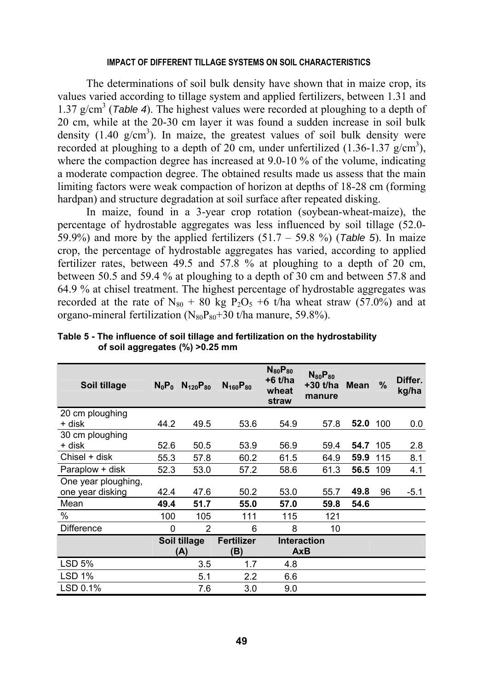The determinations of soil bulk density have shown that in maize crop, its values varied according to tillage system and applied fertilizers, between 1.31 and 1.37 g/cm3 (*Table 4*). The highest values were recorded at ploughing to a depth of 20 cm, while at the 20-30 cm layer it was found a sudden increase in soil bulk density (1.40  $g/cm<sup>3</sup>$ ). In maize, the greatest values of soil bulk density were recorded at ploughing to a depth of 20 cm, under unfertilized  $(1.36-1.37 \text{ g/cm}^3)$ , where the compaction degree has increased at 9.0-10 % of the volume, indicating a moderate compaction degree. The obtained results made us assess that the main limiting factors were weak compaction of horizon at depths of 18-28 cm (forming hardpan) and structure degradation at soil surface after repeated disking.

In maize, found in a 3-year crop rotation (soybean-wheat-maize), the percentage of hydrostable aggregates was less influenced by soil tillage (52.0- 59.9%) and more by the applied fertilizers (51.7 – 59.8 %) (*Table 5*). In maize crop, the percentage of hydrostable aggregates has varied, according to applied fertilizer rates, between 49.5 and 57.8 % at ploughing to a depth of 20 cm, between 50.5 and 59.4 % at ploughing to a depth of 30 cm and between 57.8 and 64.9 % at chisel treatment. The highest percentage of hydrostable aggregates was recorded at the rate of  $N_{80}$  + 80 kg P<sub>2</sub>O<sub>5</sub> +6 t/ha wheat straw (57.0%) and at organo-mineral fertilization  $(N_{80}P_{80}+30)$  t/ha manure, 59.8%).

| Soil tillage        | NoPo | $N_{120}P_{80}$     | N <sub>160</sub> P <sub>80</sub> | $N_{80}P_{80}$<br>$+6$ t/ha<br>wheat<br>straw | $N_{80}P_{80}$<br>$+30$ t/ha<br>manure | <b>Mean</b> | %   | Differ.<br>kg/ha |
|---------------------|------|---------------------|----------------------------------|-----------------------------------------------|----------------------------------------|-------------|-----|------------------|
| 20 cm ploughing     |      |                     |                                  |                                               |                                        |             |     |                  |
| + disk              | 44.2 | 49.5                | 53.6                             | 54.9                                          | 57.8                                   | 52.0        | 100 | 0.0              |
| 30 cm ploughing     |      |                     |                                  |                                               |                                        |             |     |                  |
| + disk              | 52.6 | 50.5                | 53.9                             | 56.9                                          | 59.4                                   | 54.7        | 105 | 2.8              |
| Chisel + disk       | 55.3 | 57.8                | 60.2                             | 61.5                                          | 64.9                                   | 59.9        | 115 | 8.1              |
| Paraplow + disk     | 52.3 | 53.0                | 57.2                             | 58.6                                          | 61.3                                   | 56.5        | 109 | 4.1              |
| One year ploughing, |      |                     |                                  |                                               |                                        |             |     |                  |
| one year disking    | 42.4 | 47.6                | 50.2                             | 53.0                                          | 55.7                                   | 49.8        | 96  | $-5.1$           |
| Mean                | 49.4 | 51.7                | 55.0                             | 57.0                                          | 59.8                                   | 54.6        |     |                  |
| %                   | 100  | 105                 | 111                              | 115                                           | 121                                    |             |     |                  |
| <b>Difference</b>   | 0    | $\overline{2}$      | 6                                | 8                                             | 10                                     |             |     |                  |
|                     |      | Soil tillage<br>(A) | <b>Fertilizer</b><br>(B)         |                                               | Interaction<br>AxB                     |             |     |                  |
| <b>LSD 5%</b>       |      | 3.5                 | 1.7                              | 4.8                                           |                                        |             |     |                  |
| <b>LSD 1%</b>       |      | 5.1                 | 2.2                              | 6.6                                           |                                        |             |     |                  |
| LSD 0.1%            |      | 7.6                 | 3.0                              | 9.0                                           |                                        |             |     |                  |

**Table 5 - The influence of soil tillage and fertilization on the hydrostability of soil aggregates (%) >0.25 mm**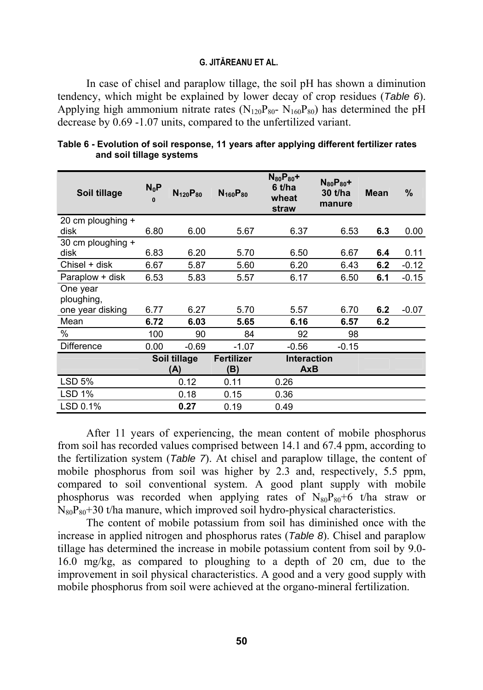In case of chisel and paraplow tillage, the soil pH has shown a diminution tendency, which might be explained by lower decay of crop residues (*Table 6*). Applying high ammonium nitrate rates  $(N_{120}P_{80} - N_{160}P_{80})$  has determined the pH decrease by 0.69 -1.07 units, compared to the unfertilized variant.

| Soil tillage              | $N_0P$<br>$\Omega$ | $N_{120}P_{80}$ | N <sub>160</sub> P <sub>80</sub> | $N_{80}P_{80}+$<br>6 t/ha<br>wheat<br>straw | $N_{80}P_{80}+$<br>$30$ t/ha<br>manure | <b>Mean</b> | $\%$    |
|---------------------------|--------------------|-----------------|----------------------------------|---------------------------------------------|----------------------------------------|-------------|---------|
| 20 cm ploughing +<br>disk | 6.80               | 6.00            | 5.67                             | 6.37                                        | 6.53                                   | 6.3         | 0.00    |
| 30 cm ploughing +         |                    |                 |                                  |                                             |                                        |             |         |
| disk                      | 6.83               | 6.20            | 5.70                             | 6.50                                        | 6.67                                   | 6.4         | 0.11    |
| Chisel + disk             | 6.67               | 5.87            | 5.60                             | 6.20                                        | 6.43                                   | 6.2         | $-0.12$ |
| Paraplow + disk           | 6.53               | 5.83            | 5.57                             | 6.17                                        | 6.50                                   | 6.1         | $-0.15$ |
| One year<br>ploughing,    |                    |                 |                                  |                                             |                                        |             |         |
| one year disking          | 6.77               | 6.27            | 5.70                             | 5.57                                        | 6.70                                   | 6.2         | $-0.07$ |
| Mean                      | 6.72               | 6.03            | 5.65                             | 6.16                                        | 6.57                                   | 6.2         |         |
| %                         | 100                | 90              | 84                               | 92                                          | 98                                     |             |         |
| <b>Difference</b>         | 0.00               | $-0.69$         | $-1.07$                          | $-0.56$                                     | $-0.15$                                |             |         |
|                           |                    | Soil tillage    | <b>Fertilizer</b>                | <b>Interaction</b>                          |                                        |             |         |
|                           |                    | (A)             | (B)                              | AxB                                         |                                        |             |         |
| <b>LSD 5%</b>             |                    | 0.12            | 0.11                             | 0.26                                        |                                        |             |         |
| <b>LSD 1%</b>             |                    | 0.18            | 0.15                             | 0.36                                        |                                        |             |         |
| LSD 0.1%                  |                    | 0.27            | 0.19                             | 0.49                                        |                                        |             |         |

**Table 6 - Evolution of soil response, 11 years after applying different fertilizer rates and soil tillage systems** 

After 11 years of experiencing, the mean content of mobile phosphorus from soil has recorded values comprised between 14.1 and 67.4 ppm, according to the fertilization system (*Table 7*). At chisel and paraplow tillage, the content of mobile phosphorus from soil was higher by 2.3 and, respectively, 5.5 ppm, compared to soil conventional system. A good plant supply with mobile phosphorus was recorded when applying rates of  $N_{80}P_{80}+6$  t/ha straw or  $N_{80}P_{80}+30$  t/ha manure, which improved soil hydro-physical characteristics.

The content of mobile potassium from soil has diminished once with the increase in applied nitrogen and phosphorus rates (*Table 8*). Chisel and paraplow tillage has determined the increase in mobile potassium content from soil by 9.0- 16.0 mg/kg, as compared to ploughing to a depth of 20 cm, due to the improvement in soil physical characteristics. A good and a very good supply with mobile phosphorus from soil were achieved at the organo-mineral fertilization.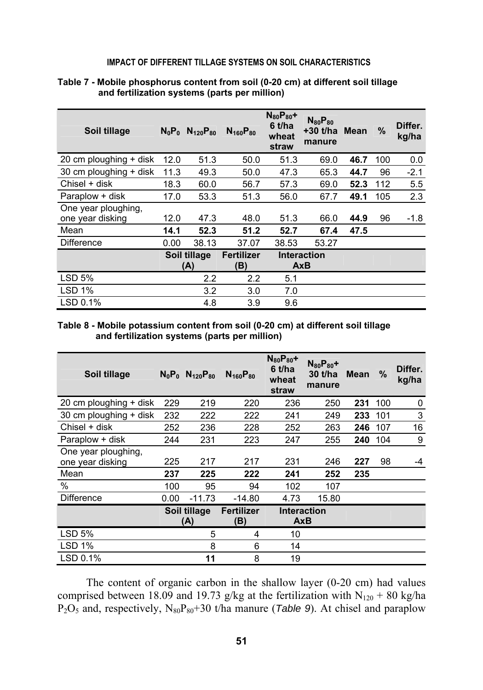| Soil tillage           |                     | $N_0P_0$ $N_{120}P_{80}$ | $N_{160}P_{80}$          | $N_{80}P_{80}+$<br>6 t/ha<br>wheat<br>straw | $N_{80}P_{80}$<br>+30 t/ha Mean<br>manure |      | $\%$ | Differ.<br>kg/ha |
|------------------------|---------------------|--------------------------|--------------------------|---------------------------------------------|-------------------------------------------|------|------|------------------|
| 20 cm ploughing + disk | 12.0                | 51.3                     | 50.0                     | 51.3                                        | 69.0                                      | 46.7 | 100  | 0.0              |
| 30 cm ploughing + disk | 11.3                | 49.3                     | 50.0                     | 47.3                                        | 65.3                                      | 44.7 | 96   | $-2.1$           |
| Chisel + disk          | 18.3                | 60.0                     | 56.7                     | 57.3                                        | 69.0                                      | 52.3 | 112  | 5.5              |
| Paraplow + disk        | 17.0                | 53.3                     | 51.3                     | 56.0                                        | 67.7                                      | 49.1 | 105  | 2.3              |
| One year ploughing,    |                     |                          |                          |                                             |                                           |      |      |                  |
| one year disking       | 12.0                | 47.3                     | 48.0                     | 51.3                                        | 66.0                                      | 44.9 | 96   | $-1.8$           |
| Mean                   | 14.1                | 52.3                     | 51.2                     | 52.7                                        | 67.4                                      | 47.5 |      |                  |
| Difference             | 0.00                | 38.13                    | 37.07                    | 38.53                                       | 53.27                                     |      |      |                  |
|                        | Soil tillage<br>(A) |                          | <b>Fertilizer</b><br>(B) |                                             | <b>Interaction</b><br>AxB                 |      |      |                  |
| <b>LSD 5%</b>          |                     | 2.2                      | 2.2                      | 5.1                                         |                                           |      |      |                  |
| <b>LSD 1%</b>          |                     | 3.2                      | 3.0                      | 7.0                                         |                                           |      |      |                  |
| LSD 0.1%               |                     | 4.8                      | 3.9                      | 9.6                                         |                                           |      |      |                  |

### **Table 7 - Mobile phosphorus content from soil (0-20 cm) at different soil tillage and fertilization systems (parts per million)**

### **Table 8 - Mobile potassium content from soil (0-20 cm) at different soil tillage and fertilization systems (parts per million)**

| Soil tillage           |                     | $N_0P_0$ $N_{120}P_{80}$ | $N_{160}P_{80}$          | $N_{80}P_{80}+$<br>6 t/ha<br>wheat<br>straw | $N_{80}P_{80}+$<br>$30$ t/ha<br>manure | <b>Mean</b> | $\%$ | Differ.<br>kg/ha |
|------------------------|---------------------|--------------------------|--------------------------|---------------------------------------------|----------------------------------------|-------------|------|------------------|
| 20 cm ploughing + disk | 229                 | 219                      | 220                      | 236                                         | 250                                    | 231         | 100  | 0                |
| 30 cm ploughing + disk | 232                 | 222                      | 222                      | 241                                         | 249                                    | 233         | 101  | 3                |
| Chisel + disk          | 252                 | 236                      | 228                      | 252                                         | 263                                    | 246         | 107  | 16               |
| Paraplow + disk        | 244                 | 231                      | 223                      | 247                                         | 255                                    | 240         | 104  | 9                |
| One year ploughing,    |                     |                          |                          |                                             |                                        |             |      |                  |
| one year disking       | 225                 | 217                      | 217                      | 231                                         | 246                                    | 227         | 98   | -4               |
| Mean                   | 237                 | 225                      | 222                      | 241                                         | 252                                    | 235         |      |                  |
| %                      | 100                 | 95                       | 94                       | 102                                         | 107                                    |             |      |                  |
| <b>Difference</b>      | 0.00                | $-11.73$                 | $-14.80$                 | 4.73                                        | 15.80                                  |             |      |                  |
|                        | Soil tillage<br>(A) |                          | <b>Fertilizer</b><br>(B) | Interaction<br><b>AxB</b>                   |                                        |             |      |                  |
| <b>LSD 5%</b>          |                     | 5                        | 4                        | 10                                          |                                        |             |      |                  |
| <b>LSD 1%</b>          |                     | 8                        | 6                        | 14                                          |                                        |             |      |                  |
| LSD 0.1%               |                     | 11                       | 8                        | 19                                          |                                        |             |      |                  |

The content of organic carbon in the shallow layer (0-20 cm) had values comprised between 18.09 and 19.73 g/kg at the fertilization with  $N_{120}$  + 80 kg/ha  $P_2O_5$  and, respectively,  $N_{80}P_{80}+30$  t/ha manure (*Table 9*). At chisel and paraplow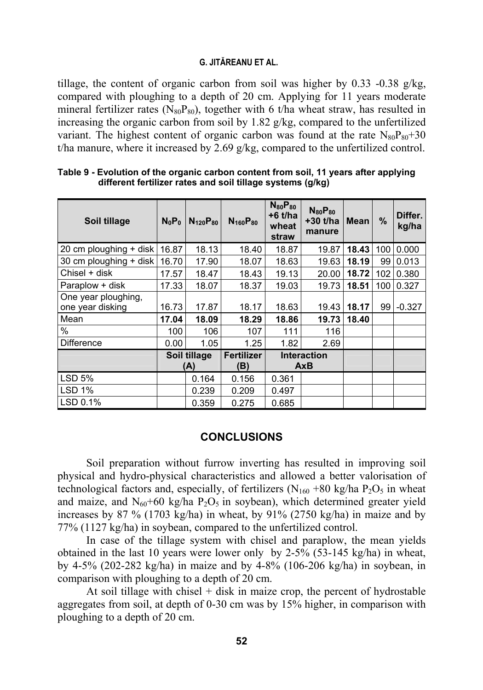tillage, the content of organic carbon from soil was higher by  $0.33 -0.38$  g/kg, compared with ploughing to a depth of 20 cm. Applying for 11 years moderate mineral fertilizer rates ( $N_{80}P_{80}$ ), together with 6 t/ha wheat straw, has resulted in increasing the organic carbon from soil by 1.82 g/kg, compared to the unfertilized variant. The highest content of organic carbon was found at the rate  $N_{80}P_{80}+30$ t/ha manure, where it increased by 2.69 g/kg, compared to the unfertilized control.

| Soil tillage           | $N_0P_0$ | $N_{120}P_{80}$ | $N_{160}P_{80}$   | $N_{80}P_{80}$<br>+6 t/ha<br>wheat<br>straw | $N_{80}P_{80}$<br>+30 t/ha<br>manure | <b>Mean</b> | $\%$ | Differ.<br>kg/ha |
|------------------------|----------|-----------------|-------------------|---------------------------------------------|--------------------------------------|-------------|------|------------------|
| 20 cm ploughing + disk | 16.87    | 18.13           | 18.40             | 18.87                                       | 19.87                                | 18.43       | 100  | 0.000            |
| 30 cm ploughing + disk | 16.70    | 17.90           | 18.07             | 18.63                                       | 19.63                                | 18.19       | 99   | 0.013            |
| Chisel + disk          | 17.57    | 18.47           | 18.43             | 19.13                                       | 20.00                                | 18.72       | 102  | 0.380            |
| Paraplow + disk        | 17.33    | 18.07           | 18.37             | 19.03                                       | 19.73                                | 18.51       | 100  | 0.327            |
| One year ploughing,    |          |                 |                   |                                             |                                      |             |      |                  |
| one year disking       | 16.73    | 17.87           | 18.17             | 18.63                                       | 19.43                                | 18.17       | 99   | $-0.327$         |
| Mean                   | 17.04    | 18.09           | 18.29             | 18.86                                       | 19.73                                | 18.40       |      |                  |
| %                      | 100      | 106             | 107               | 111                                         | 116                                  |             |      |                  |
| <b>Difference</b>      | 0.00     | 1.05            | 1.25              | 1.82                                        | 2.69                                 |             |      |                  |
|                        |          | Soil tillage    | <b>Fertilizer</b> |                                             | <b>Interaction</b>                   |             |      |                  |
|                        |          | (A)             | (B)               |                                             | <b>AxB</b>                           |             |      |                  |
| <b>LSD 5%</b>          |          | 0.164           | 0.156             | 0.361                                       |                                      |             |      |                  |
| <b>LSD 1%</b>          |          | 0.239           | 0.209             | 0.497                                       |                                      |             |      |                  |
| LSD 0.1%               |          | 0.359           | 0.275             | 0.685                                       |                                      |             |      |                  |

**Table 9 - Evolution of the organic carbon content from soil, 11 years after applying different fertilizer rates and soil tillage systems (g/kg)** 

# **CONCLUSIONS**

Soil preparation without furrow inverting has resulted in improving soil physical and hydro-physical characteristics and allowed a better valorisation of technological factors and, especially, of fertilizers  $(N_{160} + 80 \text{ kg/ha P}_2O_5)$  in wheat and maize, and  $N_{60}$ +60 kg/ha  $P_2O_5$  in soybean), which determined greater yield increases by 87 % (1703 kg/ha) in wheat, by 91% (2750 kg/ha) in maize and by 77% (1127 kg/ha) in soybean, compared to the unfertilized control.

In case of the tillage system with chisel and paraplow, the mean yields obtained in the last 10 years were lower only by 2-5% (53-145 kg/ha) in wheat, by 4-5% (202-282 kg/ha) in maize and by 4-8% (106-206 kg/ha) in soybean, in comparison with ploughing to a depth of 20 cm.

At soil tillage with chisel  $+$  disk in maize crop, the percent of hydrostable aggregates from soil, at depth of 0-30 cm was by 15% higher, in comparison with ploughing to a depth of 20 cm.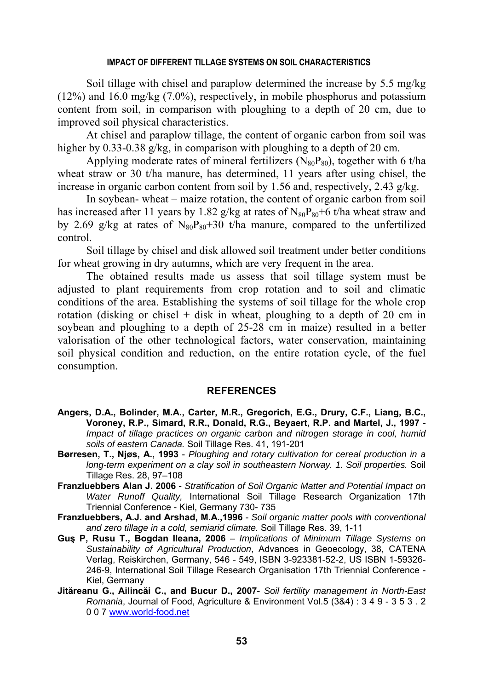Soil tillage with chisel and paraplow determined the increase by 5.5 mg/kg (12%) and 16.0 mg/kg (7.0%), respectively, in mobile phosphorus and potassium content from soil, in comparison with ploughing to a depth of 20 cm, due to improved soil physical characteristics.

At chisel and paraplow tillage, the content of organic carbon from soil was higher by 0.33-0.38 g/kg, in comparison with ploughing to a depth of 20 cm.

Applying moderate rates of mineral fertilizers  $(N_{80}P_{80})$ , together with 6 t/ha wheat straw or 30 t/ha manure, has determined, 11 years after using chisel, the increase in organic carbon content from soil by 1.56 and, respectively, 2.43 g/kg.

In soybean- wheat – maize rotation, the content of organic carbon from soil has increased after 11 years by 1.82 g/kg at rates of  $N_{80}P_{80}+6$  t/ha wheat straw and by 2.69 g/kg at rates of  $N_{80}P_{80}+30$  t/ha manure, compared to the unfertilized control.

Soil tillage by chisel and disk allowed soil treatment under better conditions for wheat growing in dry autumns, which are very frequent in the area.

The obtained results made us assess that soil tillage system must be adjusted to plant requirements from crop rotation and to soil and climatic conditions of the area. Establishing the systems of soil tillage for the whole crop rotation (disking or chisel  $+$  disk in wheat, ploughing to a depth of 20 cm in soybean and ploughing to a depth of 25-28 cm in maize) resulted in a better valorisation of the other technological factors, water conservation, maintaining soil physical condition and reduction, on the entire rotation cycle, of the fuel consumption.

### **REFERENCES**

- **Angers, D.A., Bolinder, M.A., Carter, M.R., Gregorich, E.G., Drury, C.F., Liang, B.C., Voroney, R.P., Simard, R.R., Donald, R.G., Beyaert, R.P. and Martel, J., 1997** - *Impact of tillage practices on organic carbon and nitrogen storage in cool, humid soils of eastern Canada.* Soil Tillage Res. 41, 191-201
- **Børresen, T., Njøs, A., 1993** *Ploughing and rotary cultivation for cereal production in a long-term experiment on a clay soil in southeastern Norway. 1. Soil properties.* Soil Tillage Res. 28, 97–108
- **Franzluebbers Alan J. 2006** - *Stratification of Soil Organic Matter and Potential Impact on Water Runoff Quality,* International Soil Tillage Research Organization 17th Triennial Conference - Kiel, Germany 730- 735
- **Franzluebbers, A.J. and Arshad, M.A.,1996** *Soil organic matter pools with conventional and zero tillage in a cold, semiarid climate.* Soil Tillage Res. 39, 1-11
- **Guş P, Rusu T., Bogdan Ileana, 2006** *Implications of Minimum Tillage Systems on Sustainability of Agricultural Production*, Advances in Geoecology, 38, CATENA Verlag, Reiskirchen, Germany, 546 - 549, ISBN 3-923381-52-2, US ISBN 1-59326- 246-9, International Soil Tillage Research Organisation 17th Triennial Conference - Kiel, Germany
- **Jităreanu G., Ailincăi C., and Bucur D., 2007** *Soil fertility management in North-East Romania*, Journal of Food, Agriculture & Environment Vol.5 (3&4) : 3 4 9 - 3 5 3 . 2 0 0 7 www.world-food.net